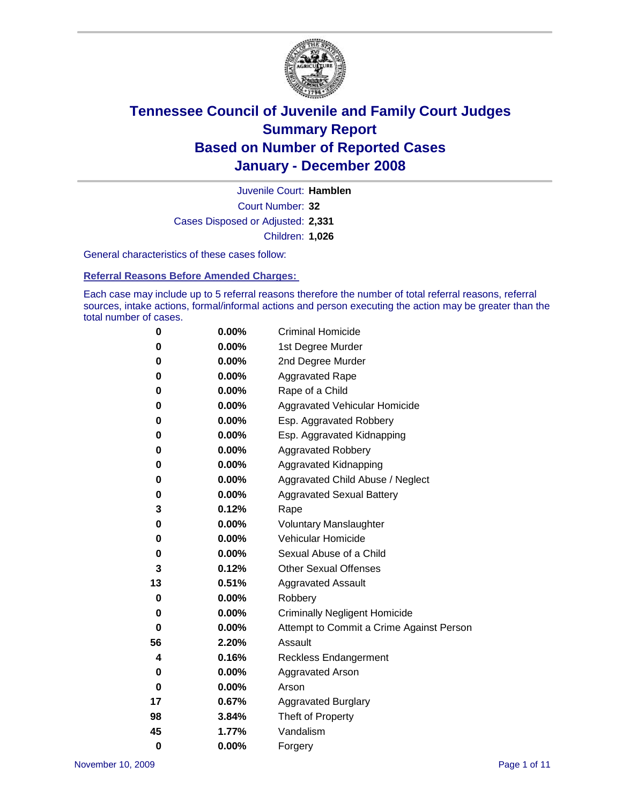

Court Number: **32** Juvenile Court: **Hamblen** Cases Disposed or Adjusted: **2,331** Children: **1,026**

General characteristics of these cases follow:

**Referral Reasons Before Amended Charges:** 

Each case may include up to 5 referral reasons therefore the number of total referral reasons, referral sources, intake actions, formal/informal actions and person executing the action may be greater than the total number of cases.

| 0  | 0.00%    | <b>Criminal Homicide</b>                 |
|----|----------|------------------------------------------|
| 0  | 0.00%    | 1st Degree Murder                        |
| 0  | $0.00\%$ | 2nd Degree Murder                        |
| 0  | 0.00%    | <b>Aggravated Rape</b>                   |
| 0  | 0.00%    | Rape of a Child                          |
| 0  | 0.00%    | Aggravated Vehicular Homicide            |
| 0  | 0.00%    | Esp. Aggravated Robbery                  |
| 0  | 0.00%    | Esp. Aggravated Kidnapping               |
| 0  | 0.00%    | <b>Aggravated Robbery</b>                |
| 0  | $0.00\%$ | Aggravated Kidnapping                    |
| 0  | 0.00%    | Aggravated Child Abuse / Neglect         |
| 0  | $0.00\%$ | <b>Aggravated Sexual Battery</b>         |
| 3  | 0.12%    | Rape                                     |
| 0  | 0.00%    | <b>Voluntary Manslaughter</b>            |
| 0  | 0.00%    | Vehicular Homicide                       |
| 0  | 0.00%    | Sexual Abuse of a Child                  |
| 3  | 0.12%    | <b>Other Sexual Offenses</b>             |
| 13 | 0.51%    | <b>Aggravated Assault</b>                |
| 0  | $0.00\%$ | Robbery                                  |
| 0  | 0.00%    | <b>Criminally Negligent Homicide</b>     |
| 0  | 0.00%    | Attempt to Commit a Crime Against Person |
| 56 | 2.20%    | Assault                                  |
| 4  | 0.16%    | <b>Reckless Endangerment</b>             |
| 0  | 0.00%    | <b>Aggravated Arson</b>                  |
| 0  | 0.00%    | Arson                                    |
| 17 | 0.67%    | <b>Aggravated Burglary</b>               |
| 98 | 3.84%    | Theft of Property                        |
| 45 | 1.77%    | Vandalism                                |
| 0  | 0.00%    | Forgery                                  |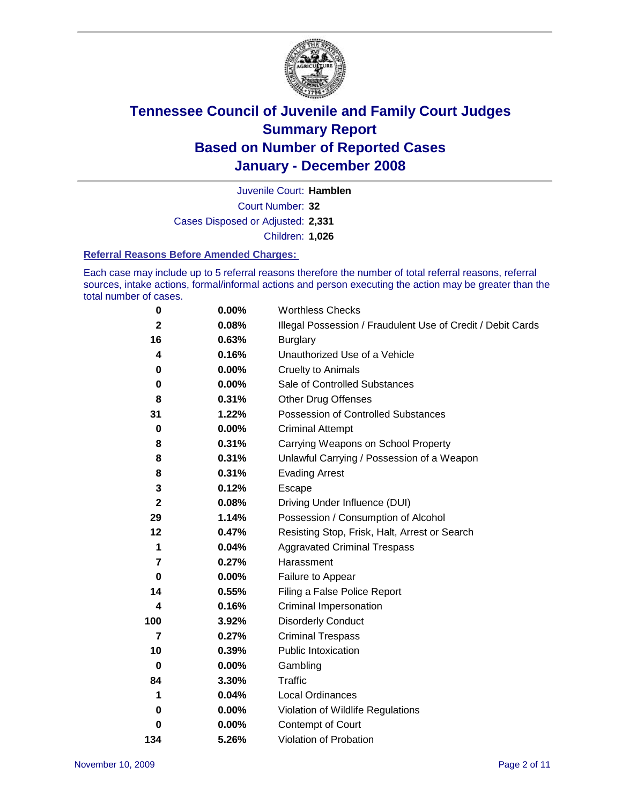

Court Number: **32** Juvenile Court: **Hamblen** Cases Disposed or Adjusted: **2,331** Children: **1,026**

#### **Referral Reasons Before Amended Charges:**

Each case may include up to 5 referral reasons therefore the number of total referral reasons, referral sources, intake actions, formal/informal actions and person executing the action may be greater than the total number of cases.

| 0                       | 0.00%    | <b>Worthless Checks</b>                                     |
|-------------------------|----------|-------------------------------------------------------------|
| $\mathbf 2$             | 0.08%    | Illegal Possession / Fraudulent Use of Credit / Debit Cards |
| 16                      | 0.63%    | <b>Burglary</b>                                             |
| 4                       | 0.16%    | Unauthorized Use of a Vehicle                               |
| 0                       | 0.00%    | <b>Cruelty to Animals</b>                                   |
| 0                       | $0.00\%$ | Sale of Controlled Substances                               |
| 8                       | 0.31%    | <b>Other Drug Offenses</b>                                  |
| 31                      | 1.22%    | <b>Possession of Controlled Substances</b>                  |
| $\mathbf 0$             | 0.00%    | <b>Criminal Attempt</b>                                     |
| 8                       | 0.31%    | Carrying Weapons on School Property                         |
| 8                       | 0.31%    | Unlawful Carrying / Possession of a Weapon                  |
| 8                       | 0.31%    | <b>Evading Arrest</b>                                       |
| 3                       | 0.12%    | Escape                                                      |
| $\mathbf{2}$            | 0.08%    | Driving Under Influence (DUI)                               |
| 29                      | 1.14%    | Possession / Consumption of Alcohol                         |
| 12                      | 0.47%    | Resisting Stop, Frisk, Halt, Arrest or Search               |
| 1                       | 0.04%    | <b>Aggravated Criminal Trespass</b>                         |
| 7                       | 0.27%    | Harassment                                                  |
| $\bf{0}$                | $0.00\%$ | Failure to Appear                                           |
| 14                      | 0.55%    | Filing a False Police Report                                |
| 4                       | 0.16%    | Criminal Impersonation                                      |
| 100                     | 3.92%    | <b>Disorderly Conduct</b>                                   |
| $\overline{\mathbf{z}}$ | 0.27%    | <b>Criminal Trespass</b>                                    |
| 10                      | 0.39%    | <b>Public Intoxication</b>                                  |
| $\bf{0}$                | $0.00\%$ | Gambling                                                    |
| 84                      | 3.30%    | Traffic                                                     |
| 1                       | 0.04%    | Local Ordinances                                            |
| 0                       | 0.00%    | Violation of Wildlife Regulations                           |
| 0                       | $0.00\%$ | Contempt of Court                                           |
| 134                     | 5.26%    | Violation of Probation                                      |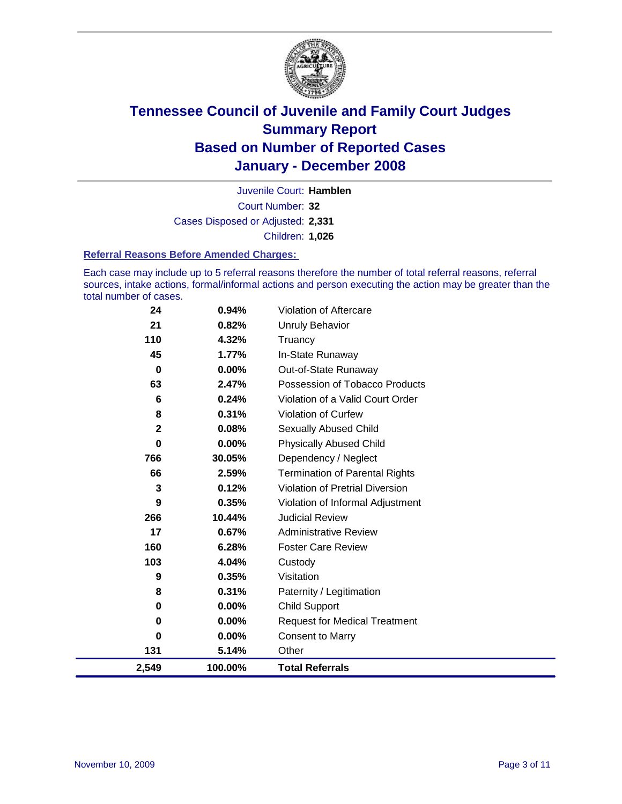

Court Number: **32** Juvenile Court: **Hamblen** Cases Disposed or Adjusted: **2,331** Children: **1,026**

#### **Referral Reasons Before Amended Charges:**

Each case may include up to 5 referral reasons therefore the number of total referral reasons, referral sources, intake actions, formal/informal actions and person executing the action may be greater than the total number of cases.

| 2,549       | 100.00%  | <b>Total Referrals</b>                |
|-------------|----------|---------------------------------------|
| 131         | 5.14%    | Other                                 |
| 0           | 0.00%    | <b>Consent to Marry</b>               |
| 0           | $0.00\%$ | <b>Request for Medical Treatment</b>  |
| $\bf{0}$    | 0.00%    | <b>Child Support</b>                  |
| 8           | 0.31%    | Paternity / Legitimation              |
| 9           | 0.35%    | Visitation                            |
| 103         | 4.04%    | Custody                               |
| 160         | 6.28%    | <b>Foster Care Review</b>             |
| 17          | 0.67%    | <b>Administrative Review</b>          |
| 266         | 10.44%   | <b>Judicial Review</b>                |
| 9           | 0.35%    | Violation of Informal Adjustment      |
| 3           | 0.12%    | Violation of Pretrial Diversion       |
| 66          | 2.59%    | <b>Termination of Parental Rights</b> |
| 766         | 30.05%   | Dependency / Neglect                  |
| $\bf{0}$    | 0.00%    | <b>Physically Abused Child</b>        |
| $\mathbf 2$ | 0.08%    | <b>Sexually Abused Child</b>          |
| 8           | 0.31%    | Violation of Curfew                   |
| 6           | 0.24%    | Violation of a Valid Court Order      |
| 63          | 2.47%    | Possession of Tobacco Products        |
| 0           | 0.00%    | Out-of-State Runaway                  |
| 45          | 1.77%    | In-State Runaway                      |
| 110         | 4.32%    | Truancy                               |
| 21          | 0.82%    | <b>Unruly Behavior</b>                |
| 24          | 0.94%    | Violation of Aftercare                |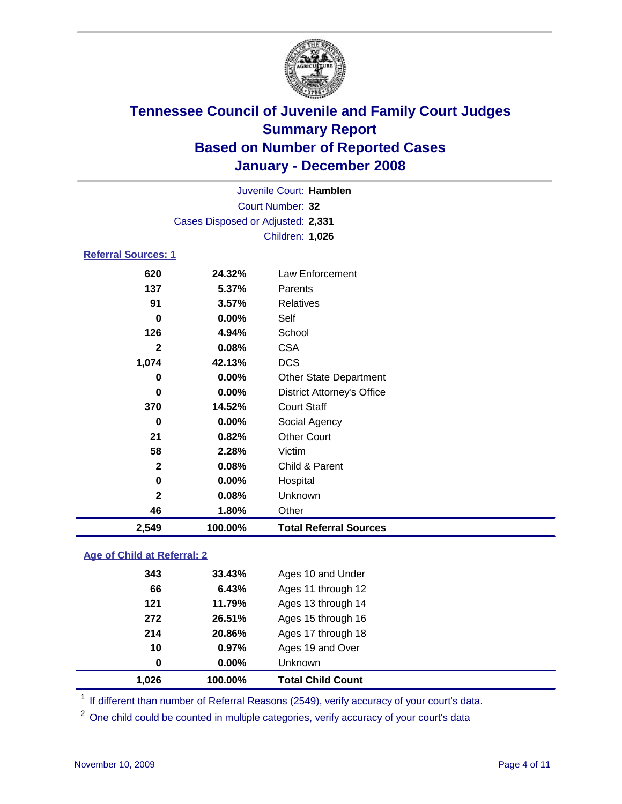

| Juvenile Court: Hamblen    |                                   |                                   |  |  |  |  |  |
|----------------------------|-----------------------------------|-----------------------------------|--|--|--|--|--|
| Court Number: 32           |                                   |                                   |  |  |  |  |  |
|                            | Cases Disposed or Adjusted: 2,331 |                                   |  |  |  |  |  |
|                            | Children: 1,026                   |                                   |  |  |  |  |  |
| <b>Referral Sources: 1</b> |                                   |                                   |  |  |  |  |  |
| 620                        | 24.32%                            | Law Enforcement                   |  |  |  |  |  |
| 137                        | 5.37%                             | Parents                           |  |  |  |  |  |
| 91                         | 3.57%                             | <b>Relatives</b>                  |  |  |  |  |  |
| $\bf{0}$                   | 0.00%                             | Self                              |  |  |  |  |  |
| 126                        | 4.94%                             | School                            |  |  |  |  |  |
| $\mathbf{2}$               | 0.08%                             | <b>CSA</b>                        |  |  |  |  |  |
| 1,074                      | 42.13%                            | <b>DCS</b>                        |  |  |  |  |  |
| 0                          | $0.00\%$                          | <b>Other State Department</b>     |  |  |  |  |  |
| 0                          | $0.00\%$                          | <b>District Attorney's Office</b> |  |  |  |  |  |
| 370                        | 14.52%                            | <b>Court Staff</b>                |  |  |  |  |  |
| 0                          | $0.00\%$                          | Social Agency                     |  |  |  |  |  |
| 21                         | 0.82%                             | <b>Other Court</b>                |  |  |  |  |  |
| 58                         | 2.28%                             | Victim                            |  |  |  |  |  |
| $\mathbf{2}$               | 0.08%                             | Child & Parent                    |  |  |  |  |  |
| 0                          | $0.00\%$                          | Hospital                          |  |  |  |  |  |
| $\overline{2}$             | 0.08%                             | Unknown                           |  |  |  |  |  |
| 46                         | 1.80%                             | Other                             |  |  |  |  |  |

### **Age of Child at Referral: 2**

| 1.026 | 100.00% | <b>Total Child Count</b> |
|-------|---------|--------------------------|
| 0     | 0.00%   | <b>Unknown</b>           |
| 10    | 0.97%   | Ages 19 and Over         |
| 214   | 20.86%  | Ages 17 through 18       |
| 272   | 26.51%  | Ages 15 through 16       |
| 121   | 11.79%  | Ages 13 through 14       |
| 66    | 6.43%   | Ages 11 through 12       |
| 343   | 33.43%  | Ages 10 and Under        |
|       |         |                          |

<sup>1</sup> If different than number of Referral Reasons (2549), verify accuracy of your court's data.

<sup>2</sup> One child could be counted in multiple categories, verify accuracy of your court's data

**2,549 100.00% Total Referral Sources**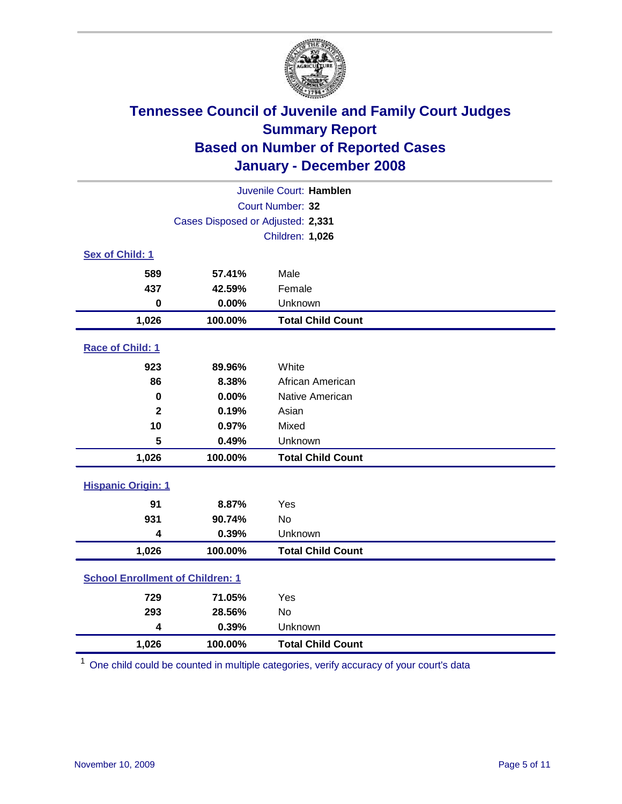

| Juvenile Court: Hamblen                 |                                   |                          |  |  |  |
|-----------------------------------------|-----------------------------------|--------------------------|--|--|--|
| Court Number: 32                        |                                   |                          |  |  |  |
|                                         | Cases Disposed or Adjusted: 2,331 |                          |  |  |  |
|                                         | Children: 1,026                   |                          |  |  |  |
| Sex of Child: 1                         |                                   |                          |  |  |  |
| 589                                     | 57.41%                            | Male                     |  |  |  |
| 437                                     | 42.59%                            | Female                   |  |  |  |
| $\bf{0}$                                | 0.00%                             | Unknown                  |  |  |  |
| 1,026                                   | 100.00%                           | <b>Total Child Count</b> |  |  |  |
| <b>Race of Child: 1</b>                 |                                   |                          |  |  |  |
| 923                                     | 89.96%                            | White                    |  |  |  |
| 86                                      | 8.38%                             | African American         |  |  |  |
| 0                                       | 0.00%                             | Native American          |  |  |  |
| $\mathbf{2}$                            | 0.19%                             | Asian                    |  |  |  |
| 10                                      | 0.97%                             | Mixed                    |  |  |  |
| 5                                       | 0.49%                             | Unknown                  |  |  |  |
| 1,026                                   | 100.00%                           | <b>Total Child Count</b> |  |  |  |
| <b>Hispanic Origin: 1</b>               |                                   |                          |  |  |  |
| 91                                      | 8.87%                             | Yes                      |  |  |  |
| 931                                     | 90.74%                            | No                       |  |  |  |
| 4                                       | 0.39%                             | Unknown                  |  |  |  |
| 1,026                                   | 100.00%                           | <b>Total Child Count</b> |  |  |  |
| <b>School Enrollment of Children: 1</b> |                                   |                          |  |  |  |
| 729                                     | 71.05%                            | Yes                      |  |  |  |
| 293                                     | 28.56%                            | No                       |  |  |  |
| 4                                       | 0.39%                             | Unknown                  |  |  |  |
| 1,026                                   | 100.00%                           | <b>Total Child Count</b> |  |  |  |

<sup>1</sup> One child could be counted in multiple categories, verify accuracy of your court's data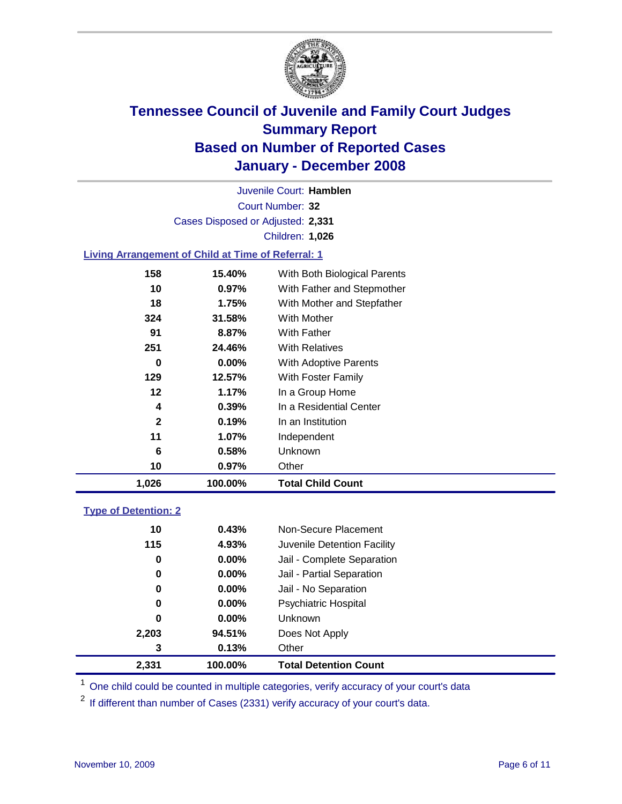

Court Number: **32** Juvenile Court: **Hamblen** Cases Disposed or Adjusted: **2,331** Children: **1,026**

### **Living Arrangement of Child at Time of Referral: 1**

| 1,026        | 100.00%  | <b>Total Child Count</b>     |
|--------------|----------|------------------------------|
| 10           | 0.97%    | Other                        |
| 6            | 0.58%    | Unknown                      |
| 11           | 1.07%    | Independent                  |
| $\mathbf{2}$ | 0.19%    | In an Institution            |
| 4            | $0.39\%$ | In a Residential Center      |
| 12           | 1.17%    | In a Group Home              |
| 129          | 12.57%   | With Foster Family           |
| 0            | $0.00\%$ | With Adoptive Parents        |
| 251          | 24.46%   | <b>With Relatives</b>        |
| 91           | 8.87%    | With Father                  |
| 324          | 31.58%   | With Mother                  |
| 18           | 1.75%    | With Mother and Stepfather   |
| 10           | $0.97\%$ | With Father and Stepmother   |
| 158          | 15.40%   | With Both Biological Parents |
|              |          |                              |

#### **Type of Detention: 2**

| 2,331 | 100.00%  | <b>Total Detention Count</b> |  |
|-------|----------|------------------------------|--|
| 3     | 0.13%    | Other                        |  |
| 2,203 | 94.51%   | Does Not Apply               |  |
| 0     | $0.00\%$ | <b>Unknown</b>               |  |
| 0     | 0.00%    | <b>Psychiatric Hospital</b>  |  |
| 0     | 0.00%    | Jail - No Separation         |  |
| 0     | $0.00\%$ | Jail - Partial Separation    |  |
| 0     | $0.00\%$ | Jail - Complete Separation   |  |
| 115   | 4.93%    | Juvenile Detention Facility  |  |
| 10    | 0.43%    | Non-Secure Placement         |  |
|       |          |                              |  |

<sup>1</sup> One child could be counted in multiple categories, verify accuracy of your court's data

<sup>2</sup> If different than number of Cases (2331) verify accuracy of your court's data.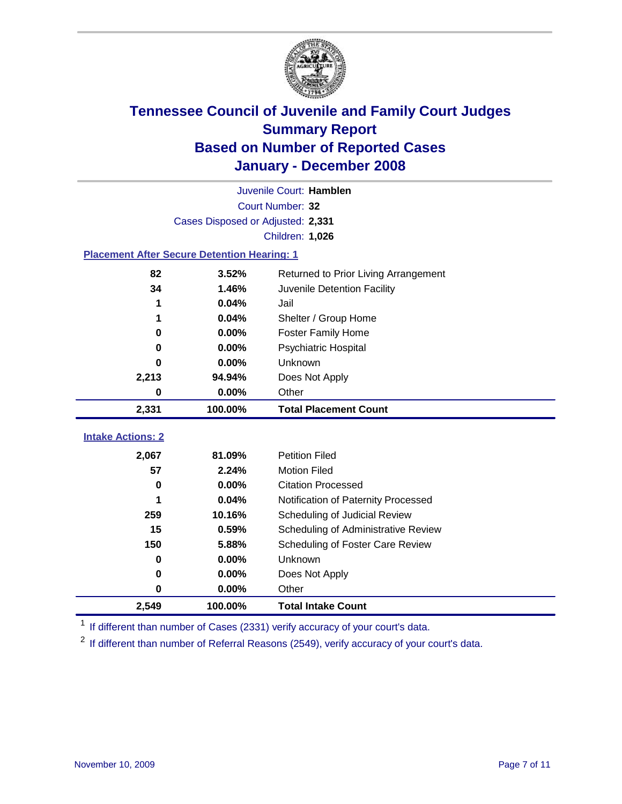

|                                   | Juvenile Court: Hamblen                            |                                      |  |  |  |  |
|-----------------------------------|----------------------------------------------------|--------------------------------------|--|--|--|--|
|                                   | Court Number: 32                                   |                                      |  |  |  |  |
|                                   | Cases Disposed or Adjusted: 2,331                  |                                      |  |  |  |  |
|                                   | Children: 1,026                                    |                                      |  |  |  |  |
|                                   | <b>Placement After Secure Detention Hearing: 1</b> |                                      |  |  |  |  |
| 82                                | 3.52%                                              | Returned to Prior Living Arrangement |  |  |  |  |
| 34                                | 1.46%                                              | Juvenile Detention Facility          |  |  |  |  |
|                                   | 0.04%                                              | Jail                                 |  |  |  |  |
|                                   | 0.04%                                              | Shelter / Group Home                 |  |  |  |  |
| 0                                 | 0.00%                                              | <b>Foster Family Home</b>            |  |  |  |  |
| 0                                 | 0.00%                                              | Psychiatric Hospital                 |  |  |  |  |
| O                                 | 0.00%                                              | Unknown                              |  |  |  |  |
| 2,213                             | 94.94%                                             | Does Not Apply                       |  |  |  |  |
| 0                                 | $0.00\%$                                           | Other                                |  |  |  |  |
|                                   |                                                    |                                      |  |  |  |  |
| 2,331                             | 100.00%                                            | <b>Total Placement Count</b>         |  |  |  |  |
|                                   |                                                    |                                      |  |  |  |  |
| <b>Intake Actions: 2</b><br>2,067 | 81.09%                                             | <b>Petition Filed</b>                |  |  |  |  |
| 57                                | 2.24%                                              | <b>Motion Filed</b>                  |  |  |  |  |
| 0                                 | 0.00%                                              | <b>Citation Processed</b>            |  |  |  |  |
|                                   | 0.04%                                              | Notification of Paternity Processed  |  |  |  |  |
| 259                               | 10.16%                                             | Scheduling of Judicial Review        |  |  |  |  |
| 15                                | 0.59%                                              | Scheduling of Administrative Review  |  |  |  |  |
| 150                               | 5.88%                                              | Scheduling of Foster Care Review     |  |  |  |  |
| 0                                 | 0.00%                                              | Unknown                              |  |  |  |  |
| 0                                 | 0.00%                                              | Does Not Apply                       |  |  |  |  |
| $\bf{0}$                          | 0.00%                                              | Other                                |  |  |  |  |

<sup>1</sup> If different than number of Cases (2331) verify accuracy of your court's data.

<sup>2</sup> If different than number of Referral Reasons (2549), verify accuracy of your court's data.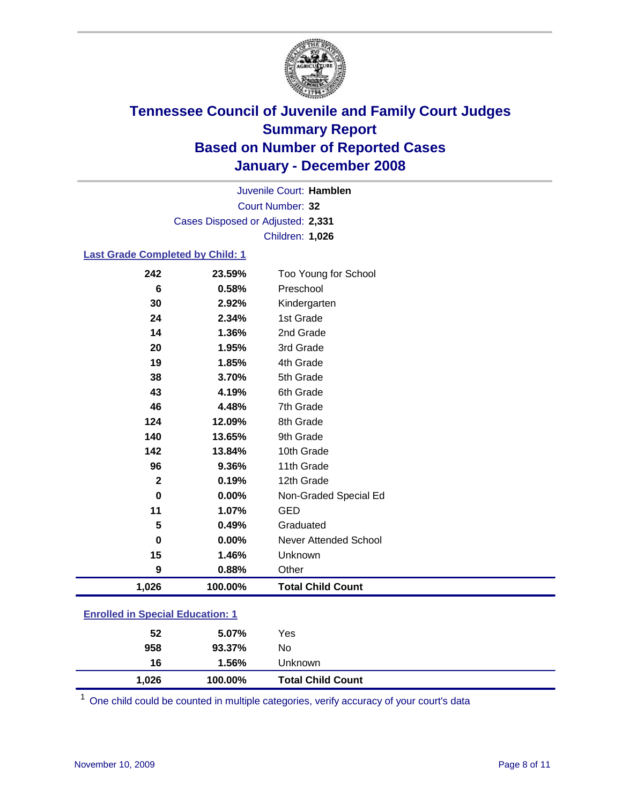

Court Number: **32** Juvenile Court: **Hamblen** Cases Disposed or Adjusted: **2,331** Children: **1,026**

#### **Last Grade Completed by Child: 1**

| 1,026        | 100.00% | <b>Total Child Count</b>     |
|--------------|---------|------------------------------|
| 9            | 0.88%   | Other                        |
| 15           | 1.46%   | Unknown                      |
| $\bf{0}$     | 0.00%   | <b>Never Attended School</b> |
| 5            | 0.49%   | Graduated                    |
| 11           | 1.07%   | <b>GED</b>                   |
| $\bf{0}$     | 0.00%   | Non-Graded Special Ed        |
| $\mathbf{2}$ | 0.19%   | 12th Grade                   |
| 96           | 9.36%   | 11th Grade                   |
| 142          | 13.84%  | 10th Grade                   |
| 140          | 13.65%  | 9th Grade                    |
| 124          | 12.09%  | 8th Grade                    |
| 46           | 4.48%   | 7th Grade                    |
| 43           | 4.19%   | 6th Grade                    |
| 38           | 3.70%   | 5th Grade                    |
| 19           | 1.85%   | 4th Grade                    |
| 20           | 1.95%   | 3rd Grade                    |
| 14           | 1.36%   | 2nd Grade                    |
| 24           | 2.34%   | 1st Grade                    |
| 30           | 2.92%   | Kindergarten                 |
| 6            | 0.58%   | Preschool                    |
| 242          | 23.59%  | Too Young for School         |

### **Enrolled in Special Education: 1**

| 52    | 5.07%   | Yes                      |
|-------|---------|--------------------------|
| 958   | 93.37%  | No                       |
| 16    | 1.56%   | Unknown                  |
| 1,026 | 100.00% | <b>Total Child Count</b> |

One child could be counted in multiple categories, verify accuracy of your court's data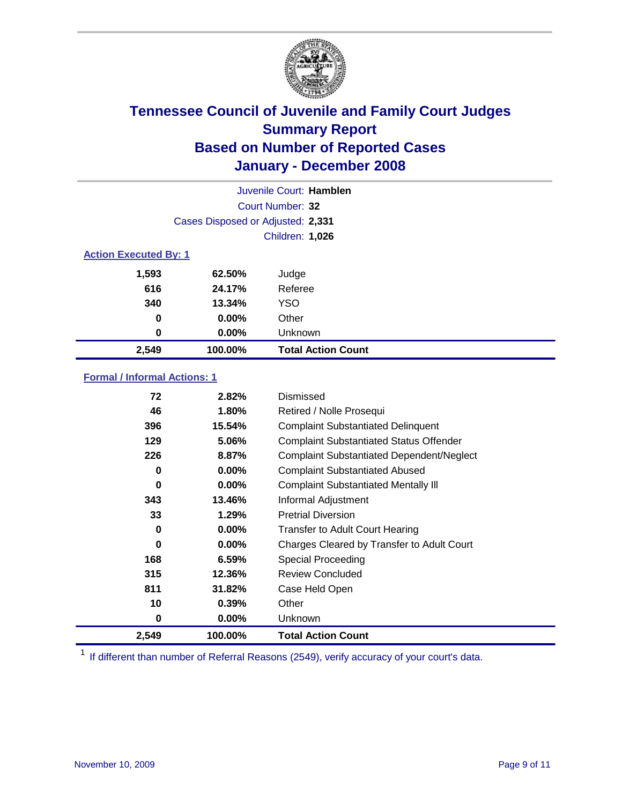

| Juvenile Court: Hamblen |                                   |                           |  |  |  |
|-------------------------|-----------------------------------|---------------------------|--|--|--|
|                         | Court Number: 32                  |                           |  |  |  |
|                         | Cases Disposed or Adjusted: 2,331 |                           |  |  |  |
|                         | Children: 1,026                   |                           |  |  |  |
|                         | <b>Action Executed By: 1</b>      |                           |  |  |  |
| 1,593                   | 62.50%                            | Judge                     |  |  |  |
| 616                     | 24.17%                            | Referee                   |  |  |  |
| 340                     | 13.34%                            | <b>YSO</b>                |  |  |  |
| 0                       | $0.00\%$                          | Other                     |  |  |  |
| 0                       | $0.00\%$                          | Unknown                   |  |  |  |
| 2,549                   | 100.00%                           | <b>Total Action Count</b> |  |  |  |

### **Formal / Informal Actions: 1**

| 72    | 2.82%    | Dismissed                                        |
|-------|----------|--------------------------------------------------|
| 46    | $1.80\%$ | Retired / Nolle Prosequi                         |
| 396   | 15.54%   | <b>Complaint Substantiated Delinquent</b>        |
| 129   | 5.06%    | <b>Complaint Substantiated Status Offender</b>   |
| 226   | 8.87%    | <b>Complaint Substantiated Dependent/Neglect</b> |
| 0     | $0.00\%$ | <b>Complaint Substantiated Abused</b>            |
| 0     | $0.00\%$ | <b>Complaint Substantiated Mentally III</b>      |
| 343   | 13.46%   | Informal Adjustment                              |
| 33    | 1.29%    | <b>Pretrial Diversion</b>                        |
| 0     | $0.00\%$ | <b>Transfer to Adult Court Hearing</b>           |
| 0     | $0.00\%$ | Charges Cleared by Transfer to Adult Court       |
| 168   | 6.59%    | Special Proceeding                               |
| 315   | 12.36%   | <b>Review Concluded</b>                          |
| 811   | 31.82%   | Case Held Open                                   |
| 10    | 0.39%    | Other                                            |
| 0     | $0.00\%$ | <b>Unknown</b>                                   |
| 2,549 | 100.00%  | <b>Total Action Count</b>                        |

<sup>1</sup> If different than number of Referral Reasons (2549), verify accuracy of your court's data.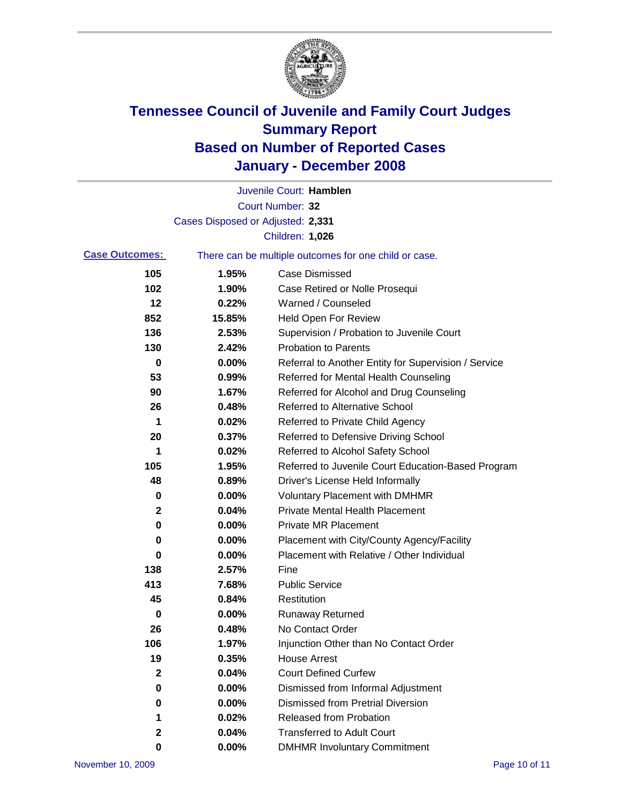

|                       |                                   | Juvenile Court: Hamblen                               |
|-----------------------|-----------------------------------|-------------------------------------------------------|
|                       |                                   | Court Number: 32                                      |
|                       | Cases Disposed or Adjusted: 2,331 |                                                       |
|                       |                                   | Children: 1,026                                       |
| <b>Case Outcomes:</b> |                                   | There can be multiple outcomes for one child or case. |
| 105                   | 1.95%                             | <b>Case Dismissed</b>                                 |
| 102                   | 1.90%                             | Case Retired or Nolle Prosequi                        |
| 12                    | 0.22%                             | Warned / Counseled                                    |
| 852                   | 15.85%                            | <b>Held Open For Review</b>                           |
| 136                   | 2.53%                             | Supervision / Probation to Juvenile Court             |
| 130                   | 2.42%                             | <b>Probation to Parents</b>                           |
| 0                     | 0.00%                             | Referral to Another Entity for Supervision / Service  |
| 53                    | 0.99%                             | Referred for Mental Health Counseling                 |
| 90                    | 1.67%                             | Referred for Alcohol and Drug Counseling              |
| 26                    | 0.48%                             | <b>Referred to Alternative School</b>                 |
| 1                     | 0.02%                             | Referred to Private Child Agency                      |
| 20                    | 0.37%                             | Referred to Defensive Driving School                  |
| 1                     | 0.02%                             | Referred to Alcohol Safety School                     |
| 105                   | 1.95%                             | Referred to Juvenile Court Education-Based Program    |
| 48                    | 0.89%                             | Driver's License Held Informally                      |
| 0                     | 0.00%                             | <b>Voluntary Placement with DMHMR</b>                 |
| 2                     | 0.04%                             | <b>Private Mental Health Placement</b>                |
| $\bf{0}$              | 0.00%                             | Private MR Placement                                  |
| 0                     | 0.00%                             | Placement with City/County Agency/Facility            |
| 0                     | 0.00%                             | Placement with Relative / Other Individual            |
| 138                   | 2.57%                             | Fine                                                  |
| 413                   | 7.68%                             | <b>Public Service</b>                                 |
| 45                    | 0.84%                             | Restitution                                           |
| 0                     | 0.00%                             | <b>Runaway Returned</b>                               |
| 26                    | 0.48%                             | No Contact Order                                      |
| 106                   | 1.97%                             | Injunction Other than No Contact Order                |
| 19                    | 0.35%                             | <b>House Arrest</b>                                   |
| $\mathbf{2}$          | 0.04%                             | <b>Court Defined Curfew</b>                           |
| 0                     | 0.00%                             | Dismissed from Informal Adjustment                    |
| 0                     | 0.00%                             | <b>Dismissed from Pretrial Diversion</b>              |
| 1                     | 0.02%                             | <b>Released from Probation</b>                        |
| $\mathbf{2}$          | 0.04%                             | <b>Transferred to Adult Court</b>                     |
| 0                     | $0.00\%$                          | <b>DMHMR Involuntary Commitment</b>                   |